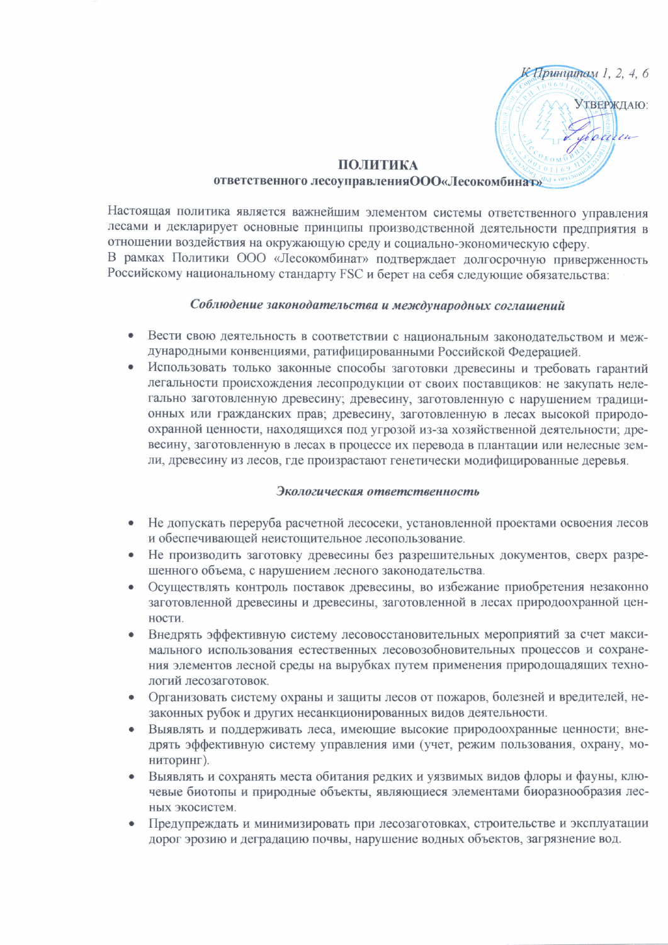

# ПОЛИТИКА

# ответственного лесоуправления ООО«Лесокомбинат»

Настоящая политика является важнейшим элементом системы ответственного управления лесами и декларирует основные принципы производственной деятельности предприятия в отношении воздействия на окружающую среду и социально-экономическую сферу. В рамках Политики ООО «Лесокомбинат» подтверждает долгосрочную приверженность Российскому национальному стандарту FSC и берет на себя следующие обязательства:

# Соблюдение законодательства и международных соглашений

- Вести свою деятельность в соответствии с национальным законолательством и международными конвенциями, ратифицированными Российской Фелерацией.
- Использовать только законные способы заготовки древесины и требовать гарантий легальности происхождения лесопродукции от своих поставщиков: не закупать нелегально заготовленную древесину; древесину, заготовленную с нарушением традиционных или гражданских прав; древесину, заготовленную в лесах высокой природоохранной ценности, находящихся под угрозой из-за хозяйственной деятельности; древесину, заготовленную в лесах в процессе их перевода в плантации или нелесные земли, древесину из лесов, где произрастают генетически модифицированные деревья.

#### Экологическая ответственность

- Не допускать переруба расчетной лесосеки, установленной проектами освоения лесов и обеспечивающей неистощительное лесопользование.
- Не производить заготовку древесины без разрешительных документов, сверх разрешенного объема, с нарушением лесного законодательства.
- Осуществлять контроль поставок древесины, во избежание приобретения незаконно заготовленной древесины и древесины, заготовленной в лесах природоохранной ценности.
- Внедрять эффективную систему лесовосстановительных мероприятий за счет макси- $\bullet$ мального использования естественных лесовозобновительных процессов и сохранения элементов лесной среды на вырубках путем применения природощадящих технологий лесозаготовок.
- Организовать систему охраны и защиты лесов от пожаров, болезней и вредителей, незаконных рубок и других несанкционированных видов деятельности.
- Выявлять и поддерживать леса, имеющие высокие природоохранные ценности; внедрять эффективную систему управления ими (учет, режим пользования, охрану, мониторинг).
- Выявлять и сохранять места обитания редких и уязвимых видов флоры и фауны, клю- $\bullet$ чевые биотопы и природные объекты, являющиеся элементами биоразнообразия лесных экосистем.
- Предупреждать и минимизировать при лесозаготовках, строительстве и эксплуатации дорог эрозию и деградацию почвы, нарушение водных объектов, загрязнение вод.